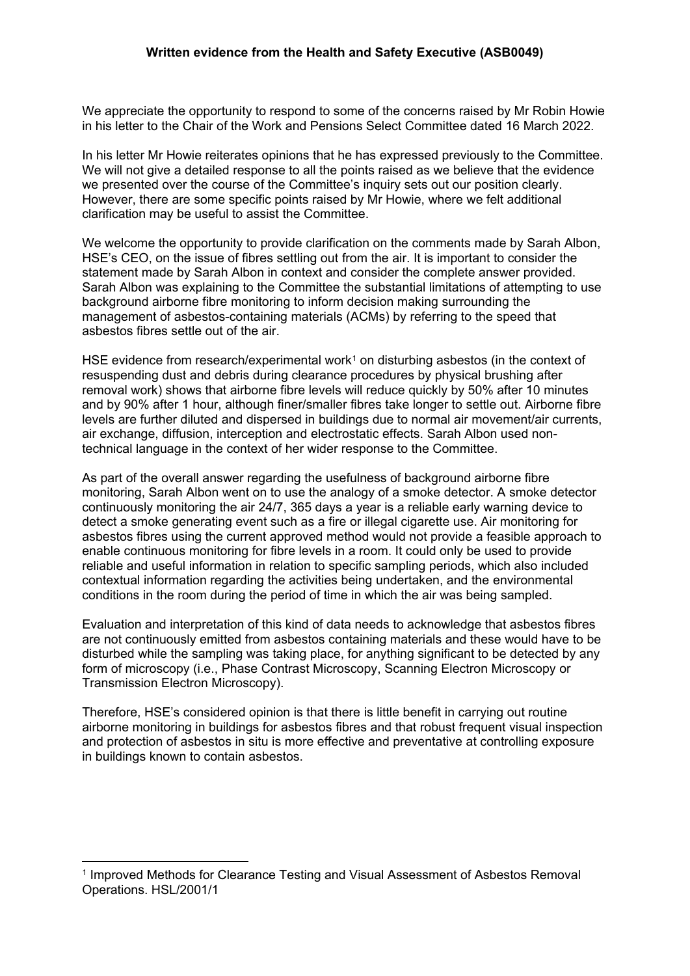We appreciate the opportunity to respond to some of the concerns raised by Mr Robin Howie in his letter to the Chair of the Work and Pensions Select Committee dated 16 March 2022.

In his letter Mr Howie reiterates opinions that he has expressed previously to the Committee. We will not give a detailed response to all the points raised as we believe that the evidence we presented over the course of the Committee's inquiry sets out our position clearly. However, there are some specific points raised by Mr Howie, where we felt additional clarification may be useful to assist the Committee.

We welcome the opportunity to provide clarification on the comments made by Sarah Albon, HSE's CEO, on the issue of fibres settling out from the air. It is important to consider the statement made by Sarah Albon in context and consider the complete answer provided. Sarah Albon was explaining to the Committee the substantial limitations of attempting to use background airborne fibre monitoring to inform decision making surrounding the management of asbestos-containing materials (ACMs) by referring to the speed that asbestos fibres settle out of the air.

HSE evidence from research/experimental work<sup>1</sup> on disturbing asbestos (in the context of resuspending dust and debris during clearance procedures by physical brushing after removal work) shows that airborne fibre levels will reduce quickly by 50% after 10 minutes and by 90% after 1 hour, although finer/smaller fibres take longer to settle out. Airborne fibre levels are further diluted and dispersed in buildings due to normal air movement/air currents, air exchange, diffusion, interception and electrostatic effects. Sarah Albon used nontechnical language in the context of her wider response to the Committee.

As part of the overall answer regarding the usefulness of background airborne fibre monitoring, Sarah Albon went on to use the analogy of a smoke detector. A smoke detector continuously monitoring the air 24/7, 365 days a year is a reliable early warning device to detect a smoke generating event such as a fire or illegal cigarette use. Air monitoring for asbestos fibres using the current approved method would not provide a feasible approach to enable continuous monitoring for fibre levels in a room. It could only be used to provide reliable and useful information in relation to specific sampling periods, which also included contextual information regarding the activities being undertaken, and the environmental conditions in the room during the period of time in which the air was being sampled.

Evaluation and interpretation of this kind of data needs to acknowledge that asbestos fibres are not continuously emitted from asbestos containing materials and these would have to be disturbed while the sampling was taking place, for anything significant to be detected by any form of microscopy (i.e., Phase Contrast Microscopy, Scanning Electron Microscopy or Transmission Electron Microscopy).

Therefore, HSE's considered opinion is that there is little benefit in carrying out routine airborne monitoring in buildings for asbestos fibres and that robust frequent visual inspection and protection of asbestos in situ is more effective and preventative at controlling exposure in buildings known to contain asbestos.

<sup>&</sup>lt;sup>1</sup> Improved Methods for Clearance Testing and Visual Assessment of Asbestos Removal Operations. HSL/2001/1